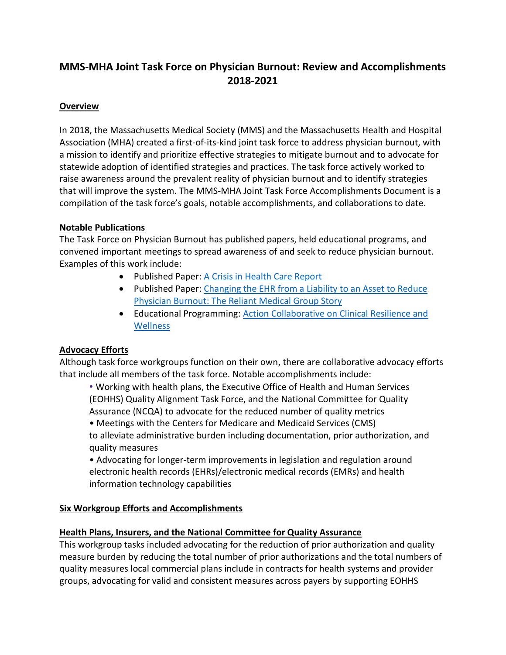# **MMS-MHA Joint Task Force on Physician Burnout: Review and Accomplishments 2018-2021**

#### **Overview**

In 2018, the Massachusetts Medical Society (MMS) and the Massachusetts Health and Hospital Association (MHA) created a first-of-its-kind joint task force to address physician burnout, with a mission to identify and prioritize effective strategies to mitigate burnout and to advocate for statewide adoption of identified strategies and practices. The task force actively worked to raise awareness around the prevalent reality of physician burnout and to identify strategies that will improve the system. The MMS-MHA Joint Task Force Accomplishments Document is a compilation of the task force's goals, notable accomplishments, and collaborations to date.

#### **Notable Publications**

The Task Force on Physician Burnout has published papers, held educational programs, and convened important meetings to spread awareness of and seek to reduce physician burnout. Examples of this work include:

- Published Paper[: A Crisis in Health Care Report](https://www.massmed.org/Publications/Research,-Studies,-and-Reports/Physician-Burnout-Report-2018/)
- Published Paper: Changing the EHR from a Liability to an Asset to Reduce [Physician Burnout: The Reliant Medical Group Story](https://www.mhalink.org/MHADocs/Resources/2019/19-04-22PR_Changing_EHR_PhysBurnout_0119_FINAL.pdf)
- Educational Programming: Action Collaborative on Clinical Resilience and **[Wellness](https://nam.edu/initiatives/clinician-resilience-and-well-being/)**

## **Advocacy Efforts**

Although task force workgroups function on their own, there are collaborative advocacy efforts that include all members of the task force. Notable accomplishments include:

• Working with health plans, the Executive Office of Health and Human Services (EOHHS) Quality Alignment Task Force, and the National Committee for Quality Assurance (NCQA) to advocate for the reduced number of quality metrics

• Meetings with the Centers for Medicare and Medicaid Services (CMS) to alleviate administrative burden including documentation, prior authorization, and quality measures

• Advocating for longer-term improvements in legislation and regulation around electronic health records (EHRs)/electronic medical records (EMRs) and health information technology capabilities

## **Six Workgroup Efforts and Accomplishments**

#### **Health Plans, Insurers, and the National Committee for Quality Assurance**

This workgroup tasks included advocating for the reduction of prior authorization and quality measure burden by reducing the total number of prior authorizations and the total numbers of quality measures local commercial plans include in contracts for health systems and provider groups, advocating for valid and consistent measures across payers by supporting EOHHS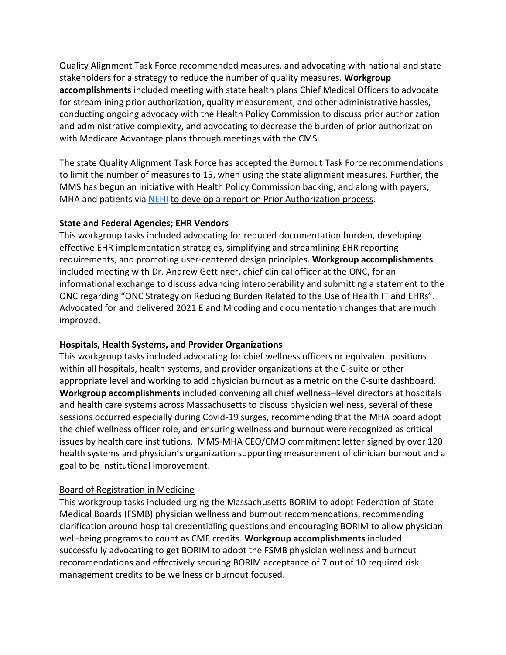Quality Alignment Task Force recommended measures, and advocating with national and state stakeholders for a strategy to reduce the number of quality measures. **Workgroup accomplishments** included meeting with state health plans Chief Medical Officers to advocate for streamlining prior authorization, quality measurement, and other administrative hassles, conducting ongoing advocacy with the Health Policy Commission to discuss prior authorization and administrative complexity, and advocating to decrease the burden of prior authorization with Medicare Advantage plans through meetings with the CMS.

The state Quality Alignment Task Force has accepted the Burnout Task Force recommendations to limit the number of measures to 15, when using the state alignment measures. Further, the MMS has begun an initiative with Health Policy Commission backing, and along with payers, MHA and patients via [NEHI](https://www.nehi.net/) to develop a report on Prior Authorization process.

#### **State and Federal Agencies; EHR Vendors**

This workgroup tasks included advocating for reduced documentation burden, developing effective EHR implementation strategies, simplifying and streamlining EHR reporting requirements, and promoting user-centered design principles. **Workgroup accomplishments** included meeting with Dr. Andrew Gettinger, chief clinical officer at the ONC, for an informational exchange to discuss advancing interoperability and submitting a statement to the ONC regarding "ONC Strategy on Reducing Burden Related to the Use of Health IT and EHRs". Advocated for and delivered 2021 E and M coding and documentation changes that are much improved.

#### **Hospitals, Health Systems, and Provider Organizations**

This workgroup tasks included advocating for chief wellness officers or equivalent positions within all hospitals, health systems, and provider organizations at the C-suite or other appropriate level and working to add physician burnout as a metric on the C-suite dashboard. **Workgroup accomplishments** included convening all chief wellness–level directors at hospitals and health care systems across Massachusetts to discuss physician wellness, several of these sessions occurred especially during Covid-19 surges, recommending that the MHA board adopt the chief wellness officer role, and ensuring wellness and burnout were recognized as critical issues by health care institutions. MMS-MHA CEO/CMO commitment letter signed by over 120 health systems and physician's organization supporting measurement of clinician burnout and a goal to be institutional improvement.

#### Board of Registration in Medicine

This workgroup tasks included urging the Massachusetts BORIM to adopt Federation of State Medical Boards (FSMB) physician wellness and burnout recommendations, recommending clarification around hospital credentialing questions and encouraging BORIM to allow physician well-being programs to count as CME credits. **Workgroup accomplishments** included successfully advocating to get BORIM to adopt the FSMB physician wellness and burnout recommendations and effectively securing BORIM acceptance of 7 out of 10 required risk management credits to be wellness or burnout focused.